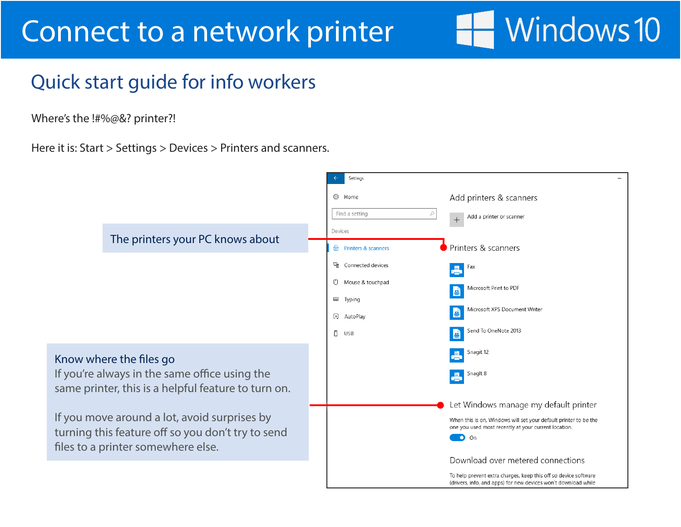# Windows 10

#### Quick start guide for info workers

Where's the !#%@&? printer?!

Here it is: Start > Settings > Devices > Printers and scanners.

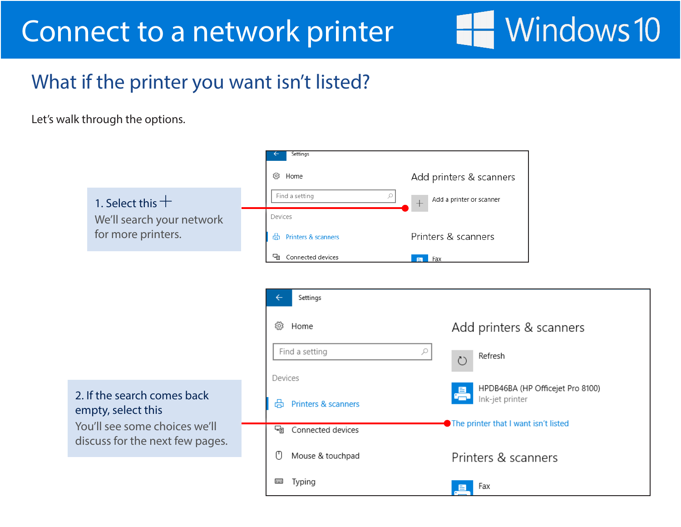#### What if the printer you want isn't listed?

Let's walk through the options.

|                                                                                                                       | Settings                 |                                      |
|-----------------------------------------------------------------------------------------------------------------------|--------------------------|--------------------------------------|
|                                                                                                                       | 發 Home                   | Add printers & scanners              |
| 1. Select this $+$                                                                                                    | Find a setting<br>₽      | Add a printer or scanner             |
| We'll search your network                                                                                             | Devices                  |                                      |
| for more printers.                                                                                                    | Printers & scanners<br>咼 | Printers & scanners                  |
|                                                                                                                       | 도함<br>Connected devices  | $\overline{F}$ Fax                   |
|                                                                                                                       |                          |                                      |
|                                                                                                                       | Settings                 |                                      |
|                                                                                                                       | స్త్రీ<br>Home           | Add printers & scanners              |
|                                                                                                                       | Find a setting           | ₽<br>Refresh<br>$\binom{1}{2}$       |
|                                                                                                                       | Devices                  | HPDB46BA (HP Officejet Pro 8100)     |
| 2. If the search comes back<br>empty, select this<br>You'll see some choices we'll<br>discuss for the next few pages. | 咼<br>Printers & scanners | Ink-jet printer                      |
|                                                                                                                       | 댴<br>Connected devices   | The printer that I want isn't listed |
|                                                                                                                       | O<br>Mouse & touchpad    | Printers & scanners                  |
|                                                                                                                       | Typing                   | Fax<br>⊟.                            |

Windows 10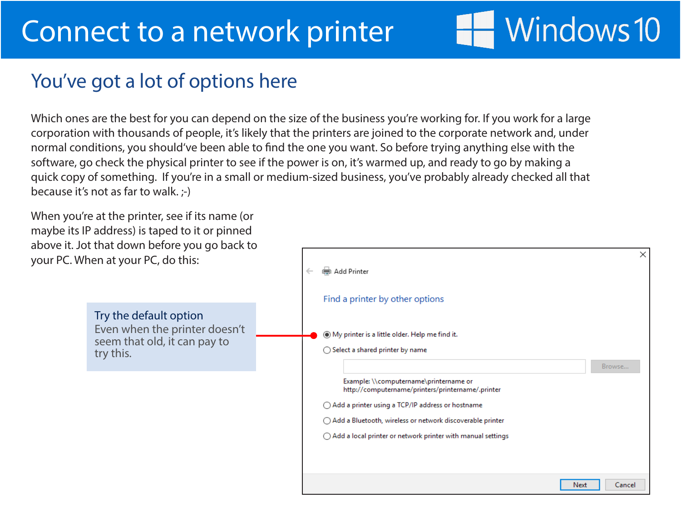# Windows 10

 $\times$ 

#### You've got a lot of options here

Which ones are the best for you can depend on the size of the business you're working for. If you work for a large corporation with thousands of people, it's likely that the printers are joined to the corporate network and, under normal conditions, you should've been able to find the one you want. So before trying anything else with the software, go check the physical printer to see if the power is on, it's warmed up, and ready to go by making a quick copy of something. If you're in a small or medium-sized business, you've probably already checked all that because it's not as far to walk. ;-)

When you're at the printer, see if its name (or maybe its IP address) is taped to it or pinned above it. Jot that down before you go back to your PC. When at your PC, do this:

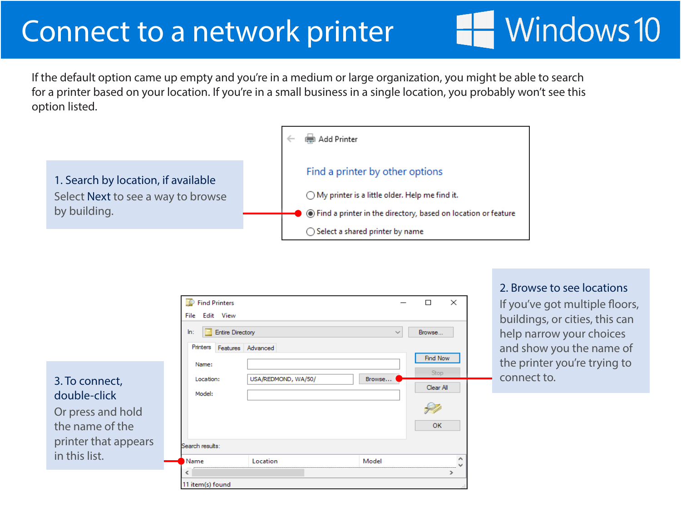If the default option came up empty and you're in a medium or large organization, you might be able to search for a printer based on your location. If you're in a small business in a single location, you probably won't see this option listed.



|                                | Find Printers                                                |                     |              | $\times$<br>□      |             | If you've got multiple floors,                       |
|--------------------------------|--------------------------------------------------------------|---------------------|--------------|--------------------|-------------|------------------------------------------------------|
|                                | File Edit View                                               |                     |              |                    |             | buildings, or cities, this can                       |
|                                | <b>Entire Directory</b><br>ln:<br>Printers Features Advanced |                     | $\checkmark$ | Browse<br>Find Now |             | help narrow your choices<br>and show you the name of |
| 3. To connect,<br>double-click | Name:<br>Location:<br>Model:                                 | USA/REDMOND, WA/50/ | Browse       | Stop<br>Clear All  | connect to. | the printer you're trying to                         |
| Or press and hold              |                                                              |                     |              | $\curvearrowleft$  |             |                                                      |
| the name of the                |                                                              |                     |              | <b>OK</b>          |             |                                                      |
| printer that appears           | Search results:                                              |                     |              |                    |             |                                                      |
| in this list.                  | Name                                                         | Location            | Model        | ۸                  |             |                                                      |
|                                |                                                              |                     |              |                    |             |                                                      |
|                                | 11 item(s) found                                             |                     |              |                    |             |                                                      |

2. Browse to see locations

Windows 10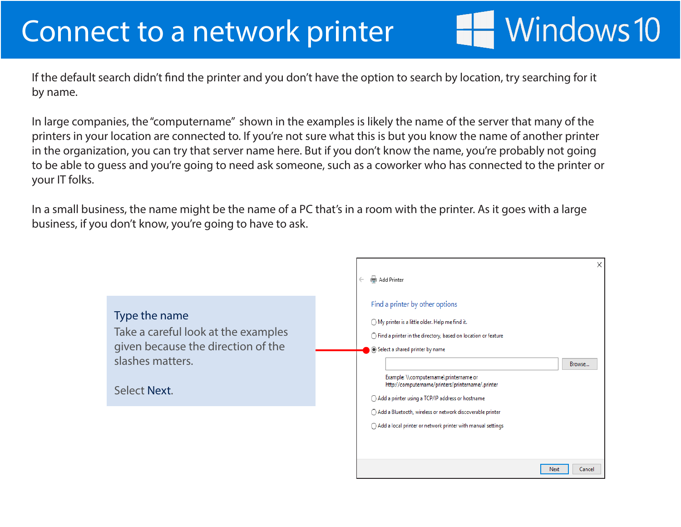If the default search didn't find the printer and you don't have the option to search by location, try searching for it by name.

Windows 10

In large companies, the "computername" shown in the examples is likely the name of the server that many of the printers in your location are connected to. If you're not sure what this is but you know the name of another printer in the organization, you can try that server name here. But if you don't know the name, you're probably not going to be able to guess and you're going to need ask someone, such as a coworker who has connected to the printer or your IT folks.

In a small business, the name might be the name of a PC that's in a room with the printer. As it goes with a large business, if you don't know, you're going to have to ask.

|                                                                                                                                | X<br>Add Printer<br>$\leftarrow$                                                                                                                                                                                                                                                                                                                                                                                                                                                                           |
|--------------------------------------------------------------------------------------------------------------------------------|------------------------------------------------------------------------------------------------------------------------------------------------------------------------------------------------------------------------------------------------------------------------------------------------------------------------------------------------------------------------------------------------------------------------------------------------------------------------------------------------------------|
| Type the name<br>Take a careful look at the examples<br>given because the direction of the<br>slashes matters.<br>Select Next. | Find a printer by other options<br>◯ My printer is a little older. Help me find it.<br>$\bigcirc$ Find a printer in the directory, based on location or feature<br>Select a shared printer by name<br>Browse<br>Example: \\computername\printername or<br>http://computername/printers/printername/.printer<br>◯ Add a printer using a TCP/IP address or hostname<br>◯ Add a Bluetooth, wireless or network discoverable printer<br>$\bigcirc$ Add a local printer or network printer with manual settings |
|                                                                                                                                | Cancel<br>Next                                                                                                                                                                                                                                                                                                                                                                                                                                                                                             |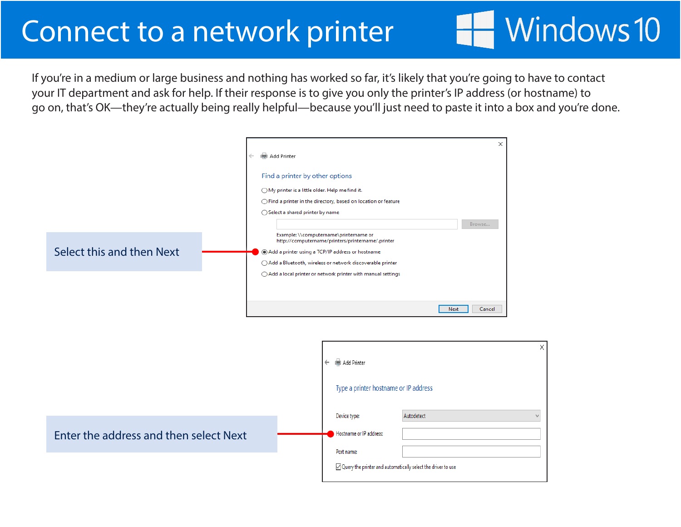If you're in a medium or large business and nothing has worked so far, it's likely that you're going to have to contact your IT department and ask for help. If their response is to give you only the printer's IP address (or hostname) to go on, that's OK—they're actually being really helpful—because you'll just need to paste it into a box and you're done.

Windows 10

|                           | Add Printer<br>$\leftarrow$                                                                                                                                                                                                                                                              | $\times$ |
|---------------------------|------------------------------------------------------------------------------------------------------------------------------------------------------------------------------------------------------------------------------------------------------------------------------------------|----------|
|                           | Find a printer by other options<br>◯ My printer is a little older. Help me find it.<br>$\bigcirc$ Find a printer in the directory, based on location or feature<br>◯ Select a shared printer by name<br>Browse                                                                           |          |
| Select this and then Next | Example: \\computername\printername or<br>http://computername/printers/printername/.printer<br>Add a printer using a TCP/IP address or hostname<br>○ Add a Bluetooth, wireless or network discoverable printer<br>$\bigcirc$ Add a local printer or network printer with manual settings |          |
|                           | Next<br>Cancel                                                                                                                                                                                                                                                                           |          |

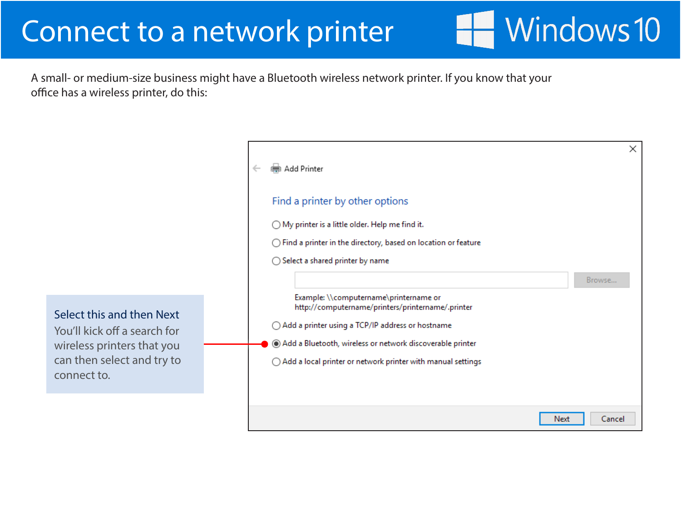A small- or medium-size business might have a Bluetooth wireless network printer. If you know that your office has a wireless printer, do this:

> × (第4 Add Printer Find a printer by other options ◯ My printer is a little older. Help me find it. ◯ Find a printer in the directory, based on location or feature  $\bigcirc$  Select a shared printer by name Browse... Example: \\computername\printername or http://computername/printers/printername/.printer  $\bigcirc$  Add a printer using a TCP/IP address or hostname Add a Bluetooth, wireless or network discoverable printer  $\bigcirc$  Add a local printer or network printer with manual settings Next Cancel

**Windows 10** 

Select this and then Next You'll kick off a search for wireless printers that you

can then select and try to

connect to.